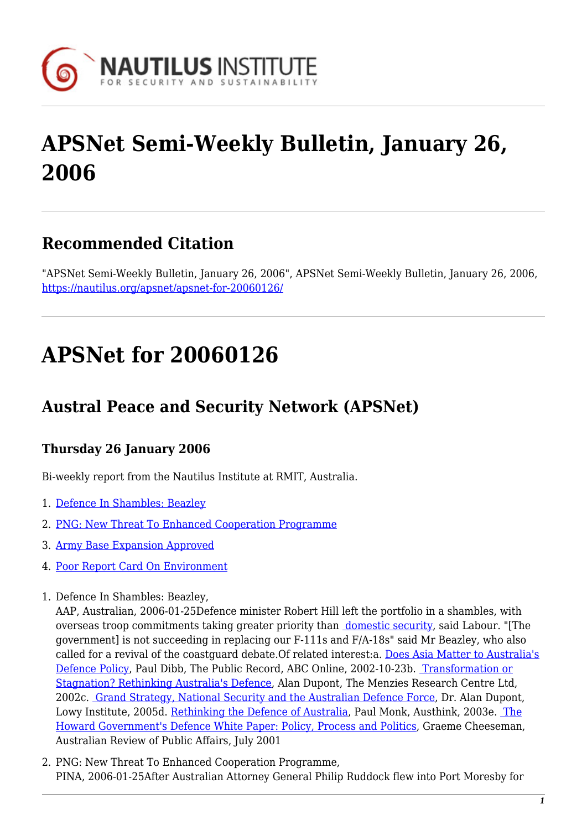

# **APSNet Semi-Weekly Bulletin, January 26, 2006**

#### **Recommended Citation**

"APSNet Semi-Weekly Bulletin, January 26, 2006", APSNet Semi-Weekly Bulletin, January 26, 2006, <https://nautilus.org/apsnet/apsnet-for-20060126/>

# **APSNet for 20060126**

### **Austral Peace and Security Network (APSNet)**

#### **Thursday 26 January 2006**

Bi-weekly report from the Nautilus Institute at RMIT, Australia.

- 1. [Defence In Shambles: Beazley](#page--1-0)
- 2. [PNG: New Threat To Enhanced Cooperation Programme](#page--1-0)
- 3. [Army Base Expansion Approved](#page--1-0)
- 4. [Poor Report Card On Environment](#page--1-0)
- 1. Defence In Shambles: Beazley,

AAP, Australian, 2006-01-25Defence minister Robert Hill left the portfolio in a shambles, with overseas troop commitments taking greater priority than [domestic security](http://www.theaustralian.news.com.au/common/story_page/0,5744,17932979%5E31477,00.html), said Labour. "[The government] is not succeeding in replacing our F-111s and F/A-18s" said Mr Beazley, who also called for a revival of the coastguard debate.Of related interest:a. [Does Asia Matter to Australia's](http://www.abc.net.au/public/s709786.htm) [Defence Policy,](http://www.abc.net.au/public/s709786.htm) Paul Dibb, The Public Record, ABC Online, 2002-10-23b. [Transformation or](http://www.mrcltd.org.au/uploaded_documents/transformation.pdf) [Stagnation? Rethinking Australia's Defence,](http://www.mrcltd.org.au/uploaded_documents/transformation.pdf) Alan Dupont, The Menzies Research Centre Ltd, 2002c. [Grand Strategy, National Security and the Australian Defence Force](http://www.lowyinstitute.org/Publication.asp?pid=260), Dr. Alan Dupont, Lowy Institute, 2005d. [Rethinking the Defence of Australia](http://www.austhink.org/monk/dibb.htm), Paul Monk, Austhink, 2003e. [The](http://www.australianreview.net/journal/v2/n1/cheeseman.pdf) [Howard Government's Defence White Paper: Policy, Process and Politics,](http://www.australianreview.net/journal/v2/n1/cheeseman.pdf) Graeme Cheeseman, Australian Review of Public Affairs, July 2001

2. PNG: New Threat To Enhanced Cooperation Programme, PINA, 2006-01-25After Australian Attorney General Philip Ruddock flew into Port Moresby for